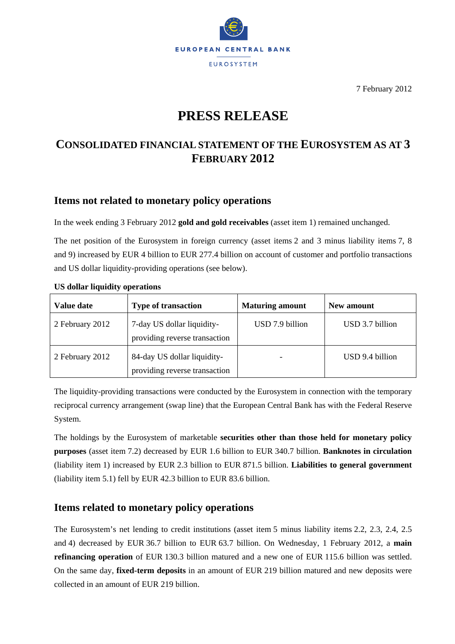

7 February 2012

# **PRESS RELEASE**

# **CONSOLIDATED FINANCIAL STATEMENT OF THE EUROSYSTEM AS AT 3 FEBRUARY 2012**

### **Items not related to monetary policy operations**

In the week ending 3 February 2012 **gold and gold receivables** (asset item 1) remained unchanged.

The net position of the Eurosystem in foreign currency (asset items 2 and 3 minus liability items 7, 8 and 9) increased by EUR 4 billion to EUR 277.4 billion on account of customer and portfolio transactions and US dollar liquidity-providing operations (see below).

| Value date      | <b>Type of transaction</b>                                   | <b>Maturing amount</b> | New amount      |
|-----------------|--------------------------------------------------------------|------------------------|-----------------|
| 2 February 2012 | 7-day US dollar liquidity-<br>providing reverse transaction  | USD 7.9 billion        | USD 3.7 billion |
| 2 February 2012 | 84-day US dollar liquidity-<br>providing reverse transaction |                        | USD 9.4 billion |

#### **US dollar liquidity operations**

The liquidity-providing transactions were conducted by the Eurosystem in connection with the temporary reciprocal currency arrangement (swap line) that the European Central Bank has with the Federal Reserve System.

The holdings by the Eurosystem of marketable **securities other than those held for monetary policy purposes** (asset item 7.2) decreased by EUR 1.6 billion to EUR 340.7 billion. **Banknotes in circulation** (liability item 1) increased by EUR 2.3 billion to EUR 871.5 billion. **Liabilities to general government** (liability item 5.1) fell by EUR 42.3 billion to EUR 83.6 billion.

## **Items related to monetary policy operations**

The Eurosystem's net lending to credit institutions (asset item 5 minus liability items 2.2, 2.3, 2.4, 2.5 and 4) decreased by EUR 36.7 billion to EUR 63.7 billion. On Wednesday, 1 February 2012, a **main refinancing operation** of EUR 130.3 billion matured and a new one of EUR 115.6 billion was settled. On the same day, **fixed-term deposits** in an amount of EUR 219 billion matured and new deposits were collected in an amount of EUR 219 billion.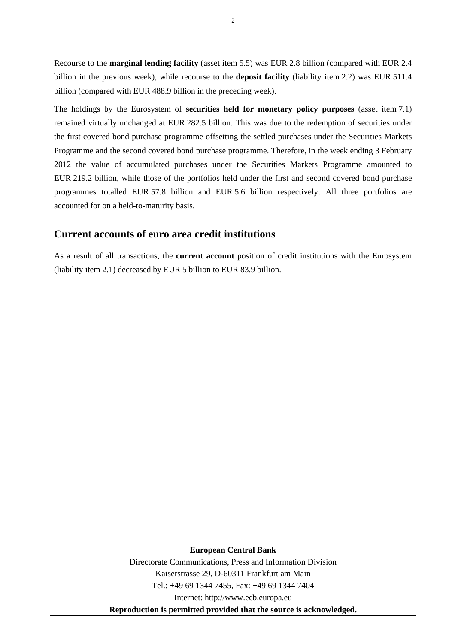Recourse to the **marginal lending facility** (asset item 5.5) was EUR 2.8 billion (compared with EUR 2.4 billion in the previous week), while recourse to the **deposit facility** (liability item 2.2) was EUR 511.4 billion (compared with EUR 488.9 billion in the preceding week).

The holdings by the Eurosystem of **securities held for monetary policy purposes** (asset item 7.1) remained virtually unchanged at EUR 282.5 billion. This was due to the redemption of securities under the first covered bond purchase programme offsetting the settled purchases under the Securities Markets Programme and the second covered bond purchase programme. Therefore, in the week ending 3 February 2012 the value of accumulated purchases under the Securities Markets Programme amounted to EUR 219.2 billion, while those of the portfolios held under the first and second covered bond purchase programmes totalled EUR 57.8 billion and EUR 5.6 billion respectively. All three portfolios are accounted for on a held-to-maturity basis.

#### **Current accounts of euro area credit institutions**

As a result of all transactions, the **current account** position of credit institutions with the Eurosystem (liability item 2.1) decreased by EUR 5 billion to EUR 83.9 billion.

#### **European Central Bank**

Directorate Communications, Press and Information Division Kaiserstrasse 29, D-60311 Frankfurt am Main Tel.: +49 69 1344 7455, Fax: +49 69 1344 7404 Internet: http://www.ecb.europa.eu **Reproduction is permitted provided that the source is acknowledged.** 

2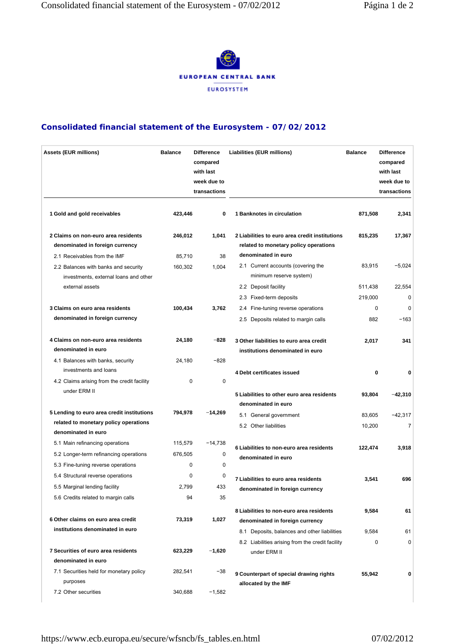

### **Consolidated financial statement of the Eurosystem - 07/02/2012**

| <b>Assets (EUR millions)</b>                                                  | <b>Balance</b> | <b>Difference</b><br>compared<br>with last<br>week due to<br>transactions | Liabilities (EUR millions)                                                              | <b>Balance</b> | <b>Difference</b><br>compared<br>with last<br>week due to<br>transactions |
|-------------------------------------------------------------------------------|----------------|---------------------------------------------------------------------------|-----------------------------------------------------------------------------------------|----------------|---------------------------------------------------------------------------|
| 1 Gold and gold receivables                                                   | 423,446        | 0                                                                         | 1 Banknotes in circulation                                                              | 871,508        | 2,341                                                                     |
| 2 Claims on non-euro area residents<br>denominated in foreign currency        | 246,012        | 1,041                                                                     | 2 Liabilities to euro area credit institutions<br>related to monetary policy operations | 815,235        | 17,367                                                                    |
| 2.1 Receivables from the IMF                                                  | 85,710         | 38                                                                        | denominated in euro                                                                     |                |                                                                           |
| 2.2 Balances with banks and security<br>investments, external loans and other | 160,302        | 1,004                                                                     | 2.1 Current accounts (covering the<br>minimum reserve system)                           | 83,915         | $-5,024$                                                                  |
| external assets                                                               |                |                                                                           | 2.2 Deposit facility                                                                    | 511,438        | 22,554                                                                    |
|                                                                               |                |                                                                           | 2.3 Fixed-term deposits                                                                 | 219,000        | 0                                                                         |
| 3 Claims on euro area residents                                               | 100,434        | 3,762                                                                     | 2.4 Fine-tuning reverse operations                                                      | 0              | 0                                                                         |
| denominated in foreign currency                                               |                |                                                                           | 2.5 Deposits related to margin calls                                                    | 882            | $-163$                                                                    |
| 4 Claims on non-euro area residents<br>denominated in euro                    | 24,180         | $-828$                                                                    | 3 Other liabilities to euro area credit<br>institutions denominated in euro             | 2,017          | 341                                                                       |
| 4.1 Balances with banks, security                                             | 24,180         | $-828$                                                                    |                                                                                         |                |                                                                           |
| investments and loans                                                         |                |                                                                           | 4 Debt certificates issued                                                              | 0              | 0                                                                         |
| 4.2 Claims arising from the credit facility                                   | 0              | 0                                                                         |                                                                                         |                |                                                                           |
| under ERM II                                                                  |                |                                                                           | 5 Liabilities to other euro area residents<br>denominated in euro                       | 93,804         | -42,310                                                                   |
| 5 Lending to euro area credit institutions                                    | 794,978        | $-14,269$                                                                 | 5.1 General government                                                                  | 83,605         | $-42,317$                                                                 |
| related to monetary policy operations<br>denominated in euro                  |                |                                                                           | 5.2 Other liabilities                                                                   | 10,200         | $\overline{7}$                                                            |
| 5.1 Main refinancing operations                                               | 115,579        | $-14,738$                                                                 |                                                                                         |                |                                                                           |
| 5.2 Longer-term refinancing operations                                        | 676,505        | 0                                                                         | 6 Liabilities to non-euro area residents<br>denominated in euro                         | 122,474        | 3,918                                                                     |
| 5.3 Fine-tuning reverse operations                                            | 0              | 0                                                                         |                                                                                         |                |                                                                           |
| 5.4 Structural reverse operations                                             | 0              | 0                                                                         | 7 Liabilities to euro area residents                                                    | 3,541          | 696                                                                       |
| 5.5 Marginal lending facility                                                 | 2,799          | 433                                                                       | denominated in foreign currency                                                         |                |                                                                           |
| 5.6 Credits related to margin calls                                           | 94             | 35                                                                        |                                                                                         |                |                                                                           |
| 6 Other claims on euro area credit                                            | 73,319         | 1,027                                                                     | 8 Liabilities to non-euro area residents<br>denominated in foreign currency             | 9,584          | 61                                                                        |
| institutions denominated in euro                                              |                |                                                                           | 8.1 Deposits, balances and other liabilities                                            | 9,584          | 61                                                                        |
|                                                                               |                |                                                                           | 8.2 Liabilities arising from the credit facility                                        | 0              | 0                                                                         |
| 7 Securities of euro area residents                                           | 623,229        | $-1,620$                                                                  | under ERM II                                                                            |                |                                                                           |
| denominated in euro                                                           |                |                                                                           |                                                                                         |                |                                                                           |
| 7.1 Securities held for monetary policy<br>purposes                           | 282,541        | -38                                                                       | 9 Counterpart of special drawing rights<br>allocated by the IMF                         | 55,942         | 0                                                                         |
| 7.2 Other securities                                                          | 340,688        | $-1,582$                                                                  |                                                                                         |                |                                                                           |